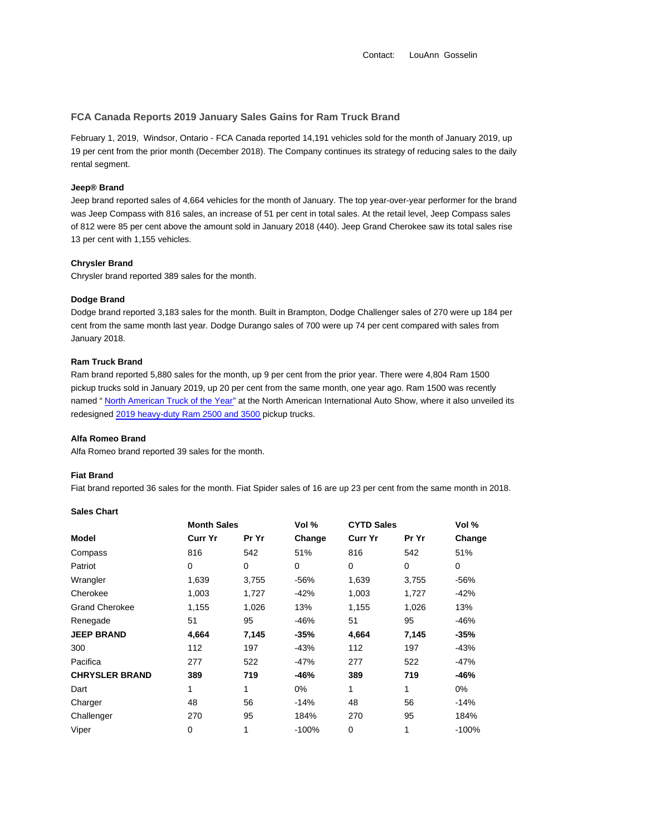## **FCA Canada Reports 2019 January Sales Gains for Ram Truck Brand**

February 1, 2019, Windsor, Ontario - FCA Canada reported 14,191 vehicles sold for the month of January 2019, up 19 per cent from the prior month (December 2018). The Company continues its strategy of reducing sales to the daily rental segment.

# **Jeep® Brand**

Jeep brand reported sales of 4,664 vehicles for the month of January. The top year-over-year performer for the brand was Jeep Compass with 816 sales, an increase of 51 per cent in total sales. At the retail level, Jeep Compass sales of 812 were 85 per cent above the amount sold in January 2018 (440). Jeep Grand Cherokee saw its total sales rise 13 per cent with 1,155 vehicles.

### **Chrysler Brand**

Chrysler brand reported 389 sales for the month.

### **Dodge Brand**

Dodge brand reported 3,183 sales for the month. Built in Brampton, Dodge Challenger sales of 270 were up 184 per cent from the same month last year. Dodge Durango sales of 700 were up 74 per cent compared with sales from January 2018.

## **Ram Truck Brand**

Ram brand reported 5,880 sales for the month, up 9 per cent from the prior year. There were 4,804 Ram 1500 pickup trucks sold in January 2019, up 20 per cent from the same month, one year ago. Ram 1500 was recently named " North American Truck of the Year" at the North American International Auto Show, where it also unveiled its redesigned 2019 heavy-duty Ram 2500 and 3500 pickup trucks.

#### **Alfa Romeo Brand**

Alfa Romeo brand reported 39 sales for the month.

### **Fiat Brand**

Fiat brand reported 36 sales for the month. Fiat Spider sales of 16 are up 23 per cent from the same month in 2018.

|                       | <b>Month Sales</b> |       | Vol %   | <b>CYTD Sales</b> |       | Vol %   |  |
|-----------------------|--------------------|-------|---------|-------------------|-------|---------|--|
| Model                 | Curr Yr            | Pr Yr | Change  | <b>Curr Yr</b>    | Pr Yr | Change  |  |
| Compass               | 816                | 542   | 51%     | 816               | 542   | 51%     |  |
| Patriot               | 0                  | 0     | 0       | 0                 | 0     | 0       |  |
| Wrangler              | 1,639              | 3,755 | $-56%$  | 1,639             | 3,755 | -56%    |  |
| Cherokee              | 1,003              | 1,727 | $-42%$  | 1,003             | 1,727 | -42%    |  |
| <b>Grand Cherokee</b> | 1,155              | 1,026 | 13%     | 1,155             | 1,026 | 13%     |  |
| Renegade              | 51                 | 95    | $-46%$  | 51                | 95    | $-46%$  |  |
| <b>JEEP BRAND</b>     | 4,664              | 7,145 | $-35%$  | 4,664             | 7,145 | $-35%$  |  |
| 300                   | 112                | 197   | $-43%$  | 112               | 197   | -43%    |  |
| Pacifica              | 277                | 522   | -47%    | 277               | 522   | -47%    |  |
| <b>CHRYSLER BRAND</b> | 389                | 719   | $-46%$  | 389               | 719   | $-46%$  |  |
| Dart                  | 1                  | 1     | $0\%$   | 1                 | 1     | 0%      |  |
| Charger               | 48                 | 56    | $-14%$  | 48                | 56    | $-14%$  |  |
| Challenger            | 270                | 95    | 184%    | 270               | 95    | 184%    |  |
| Viper                 | 0                  | 1     | $-100%$ | 0                 | 1     | $-100%$ |  |